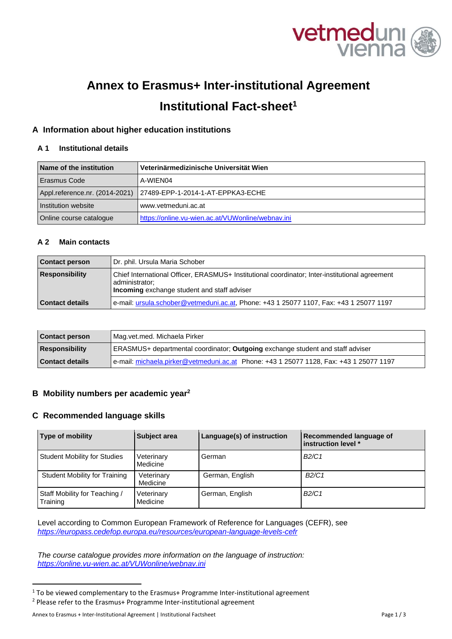

# **Annex to Erasmus+ Inter-institutional Agreement Institutional Fact-sheet1**

# **A Information about higher education institutions**

# **A 1 Institutional details**

| Name of the institution | Veterinärmedizinische Universität Wien                             |
|-------------------------|--------------------------------------------------------------------|
| Erasmus Code            | A-WIEN04                                                           |
|                         | Appl.reference.nr. (2014-2021)   27489-EPP-1-2014-1-AT-EPPKA3-ECHE |
| Institution website     | www.vetmeduni.ac.at                                                |
| Online course catalogue | https://online.vu-wien.ac.at/VUWonline/webnav.ini                  |

#### **A 2 Main contacts**

| <b>Contact person</b>  | Dr. phil. Ursula Maria Schober                                                                                                                                  |
|------------------------|-----------------------------------------------------------------------------------------------------------------------------------------------------------------|
| <b>Responsibility</b>  | Chief International Officer, ERASMUS+ Institutional coordinator; Inter-institutional agreement<br>administrator;<br>Incoming exchange student and staff adviser |
| <b>Contact details</b> | e-mail: ursula.schober@vetmeduni.ac.at, Phone: +43 1 25077 1107, Fax: +43 1 25077 1197                                                                          |

| Contact person  | Mag.vet.med. Michaela Pirker                                                           |
|-----------------|----------------------------------------------------------------------------------------|
| Responsibility  | ERASMUS+ departmental coordinator; Outgoing exchange student and staff adviser         |
| Contact details | e-mail: michaela.pirker@vetmeduni.ac.at Phone: +43 1 25077 1128, Fax: +43 1 25077 1197 |

## **B Mobility numbers per academic year2**

## **C Recommended language skills**

| Type of mobility                          | <b>Subject area</b>    | Language(s) of instruction | Recommended language of<br>linstruction level * |
|-------------------------------------------|------------------------|----------------------------|-------------------------------------------------|
| <b>Student Mobility for Studies</b>       | Veterinary<br>Medicine | German                     | B2/C1                                           |
| Student Mobility for Training             | Veterinary<br>Medicine | German, English            | B2/C1                                           |
| Staff Mobility for Teaching /<br>Training | Veterinary<br>Medicine | German, English            | B2/C1                                           |

Level according to Common European Framework of Reference for Languages (CEFR), see *https://europass.cedefop.europa.eu/resources/european-language-levels-cefr* 

*The course catalogue provides more information on the language of instruction: https://online.vu-wien.ac.at/VUWonline/webnav.ini* 

<sup>&</sup>lt;sup>1</sup> To be viewed complementary to the Erasmus+ Programme Inter-institutional agreement <sup>2</sup> Please refer to the Erasmus+ Programme Inter-institutional agreement

Annex to Erasmus + Inter-Institutional Agreement | Institutional Factsheet Page 1 / 3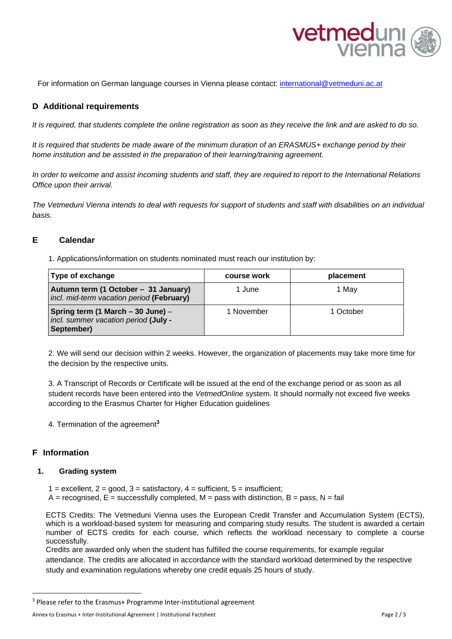

For information on German language courses in Vienna please contact: international@vetmeduni.ac.at

### **D Additional requirements**

*It is required, that students complete the online registration as soon as they receive the link and are asked to do so.* 

*It is required that students be made aware of the minimum duration of an ERASMUS+ exchange period by their home institution and be assisted in the preparation of their learning/training agreement.* 

*In order to welcome and assist incoming students and staff, they are required to report to the International Relations Office upon their arrival.* 

*The Vetmeduni Vienna intends to deal with requests for support of students and staff with disabilities on an individual basis.* 

### **E Calendar**

1. Applications/information on students nominated must reach our institution by:

| Type of exchange                                                                        | course work | placement |
|-----------------------------------------------------------------------------------------|-------------|-----------|
| Autumn term (1 October - 31 January)<br>incl. mid-term vacation period (February)       | 1 June      | 1 Mav     |
| Spring term (1 March – 30 June) –<br>incl. summer vacation period (July -<br>September) | 1 November  | 1 October |

2. We will send our decision within 2 weeks. However, the organization of placements may take more time for the decision by the respective units.

3. A Transcript of Records or Certificate will be issued at the end of the exchange period or as soon as all student records have been entered into the *VetmedOnline* system. It should normally not exceed five weeks according to the Erasmus Charter for Higher Education guidelines

4. Termination of the agreement**<sup>3</sup>** 

#### **F Information**

#### **1. Grading system**

- 1 = excellent,  $2 = \text{good}$ ,  $3 = \text{satisfactory}$ ,  $4 = \text{sufficient}$ ,  $5 = \text{insufficient}$ ;
- $A =$  recognised,  $E =$  successfully completed,  $M =$  pass with distinction,  $B =$  pass,  $N =$  fail

ECTS Credits: The Vetmeduni Vienna uses the European Credit Transfer and Accumulation System (ECTS), which is a workload-based system for measuring and comparing study results. The student is awarded a certain number of ECTS credits for each course, which reflects the workload necessary to complete a course successfully.

Credits are awarded only when the student has fulfilled the course requirements, for example regular attendance. The credits are allocated in accordance with the standard workload determined by the respective study and examination regulations whereby one credit equals 25 hours of study.

<sup>&</sup>lt;sup>3</sup> Please refer to the Erasmus+ Programme Inter-institutional agreement

Annex to Erasmus + Inter-Institutional Agreement | Institutional Factsheet Page 2 / 3